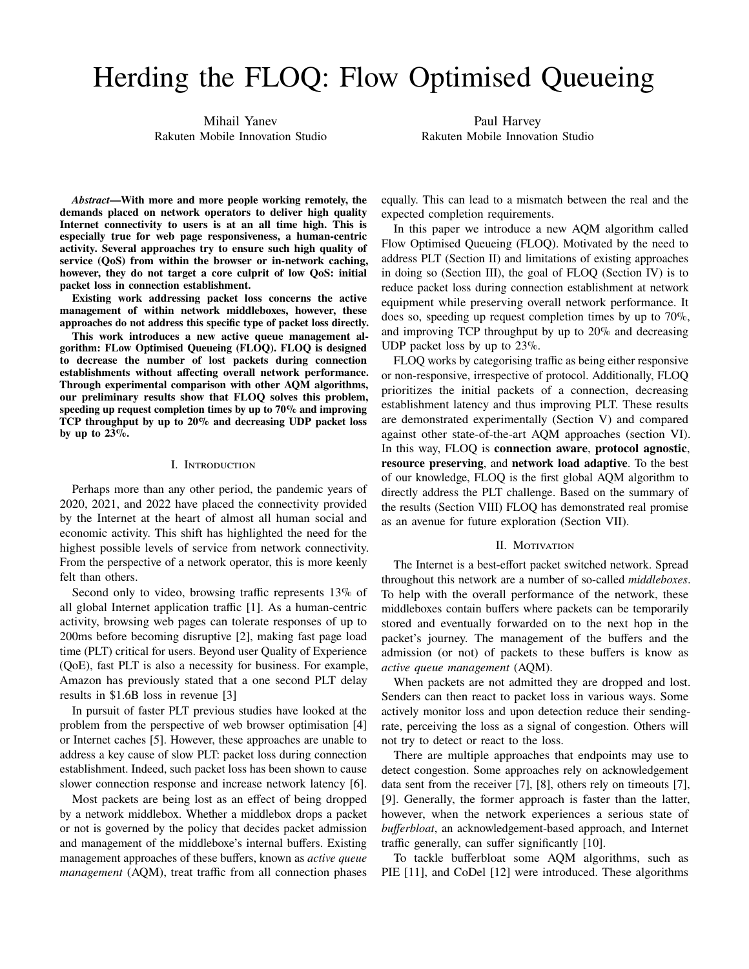# Herding the FLOQ: Flow Optimised Queueing

Mihail Yanev Rakuten Mobile Innovation Studio

Paul Harvey Rakuten Mobile Innovation Studio

*Abstract***—With more and more people working remotely, the demands placed on network operators to deliver high quality Internet connectivity to users is at an all time high. This is especially true for web page responsiveness, a human-centric activity. Several approaches try to ensure such high quality of service (QoS) from within the browser or in-network caching, however, they do not target a core culprit of low QoS: initial packet loss in connection establishment.**

**Existing work addressing packet loss concerns the active management of within network middleboxes, however, these approaches do not address this specific type of packet loss directly.**

**This work introduces a new active queue management algorithm: FLow Optimised Queueing (FLOQ). FLOQ is designed to decrease the number of lost packets during connection establishments without affecting overall network performance. Through experimental comparison with other AQM algorithms, our preliminary results show that FLOQ solves this problem, speeding up request completion times by up to 70% and improving TCP throughput by up to 20% and decreasing UDP packet loss by up to 23%.**

# I. Introduction

Perhaps more than any other period, the pandemic years of 2020, 2021, and 2022 have placed the connectivity provided by the Internet at the heart of almost all human social and economic activity. This shift has highlighted the need for the highest possible levels of service from network connectivity. From the perspective of a network operator, this is more keenly felt than others.

Second only to video, browsing traffic represents 13% of all global Internet application traffic [1]. As a human-centric activity, browsing web pages can tolerate responses of up to 200ms before becoming disruptive [2], making fast page load time (PLT) critical for users. Beyond user Quality of Experience (QoE), fast PLT is also a necessity for business. For example, Amazon has previously stated that a one second PLT delay results in \$1.6B loss in revenue [3]

In pursuit of faster PLT previous studies have looked at the problem from the perspective of web browser optimisation [4] or Internet caches [5]. However, these approaches are unable to address a key cause of slow PLT: packet loss during connection establishment. Indeed, such packet loss has been shown to cause slower connection response and increase network latency [6].

Most packets are being lost as an effect of being dropped by a network middlebox. Whether a middlebox drops a packet or not is governed by the policy that decides packet admission and management of the middleboxe's internal buffers. Existing management approaches of these buffers, known as *active queue management* (AQM), treat traffic from all connection phases equally. This can lead to a mismatch between the real and the expected completion requirements.

In this paper we introduce a new AQM algorithm called Flow Optimised Queueing (FLOQ). Motivated by the need to address PLT (Section II) and limitations of existing approaches in doing so (Section III), the goal of FLOQ (Section IV) is to reduce packet loss during connection establishment at network equipment while preserving overall network performance. It does so, speeding up request completion times by up to 70%, and improving TCP throughput by up to 20% and decreasing UDP packet loss by up to 23%.

FLOQ works by categorising traffic as being either responsive or non-responsive, irrespective of protocol. Additionally, FLOQ prioritizes the initial packets of a connection, decreasing establishment latency and thus improving PLT. These results are demonstrated experimentally (Section V) and compared against other state-of-the-art AQM approaches (section VI). In this way, FLOQ is **connection aware**, **protocol agnostic**, **resource preserving**, and **network load adaptive**. To the best of our knowledge, FLOQ is the first global AQM algorithm to directly address the PLT challenge. Based on the summary of the results (Section VIII) FLOQ has demonstrated real promise as an avenue for future exploration (Section VII).

# II. MOTIVATION

The Internet is a best-effort packet switched network. Spread throughout this network are a number of so-called *middleboxes*. To help with the overall performance of the network, these middleboxes contain buffers where packets can be temporarily stored and eventually forwarded on to the next hop in the packet's journey. The management of the buffers and the admission (or not) of packets to these buffers is know as *active queue management* (AQM).

When packets are not admitted they are dropped and lost. Senders can then react to packet loss in various ways. Some actively monitor loss and upon detection reduce their sendingrate, perceiving the loss as a signal of congestion. Others will not try to detect or react to the loss.

There are multiple approaches that endpoints may use to detect congestion. Some approaches rely on acknowledgement data sent from the receiver [7], [8], others rely on timeouts [7], [9]. Generally, the former approach is faster than the latter, however, when the network experiences a serious state of *bufferbloat*, an acknowledgement-based approach, and Internet traffic generally, can suffer significantly [10].

To tackle bufferbloat some AQM algorithms, such as PIE [11], and CoDel [12] were introduced. These algorithms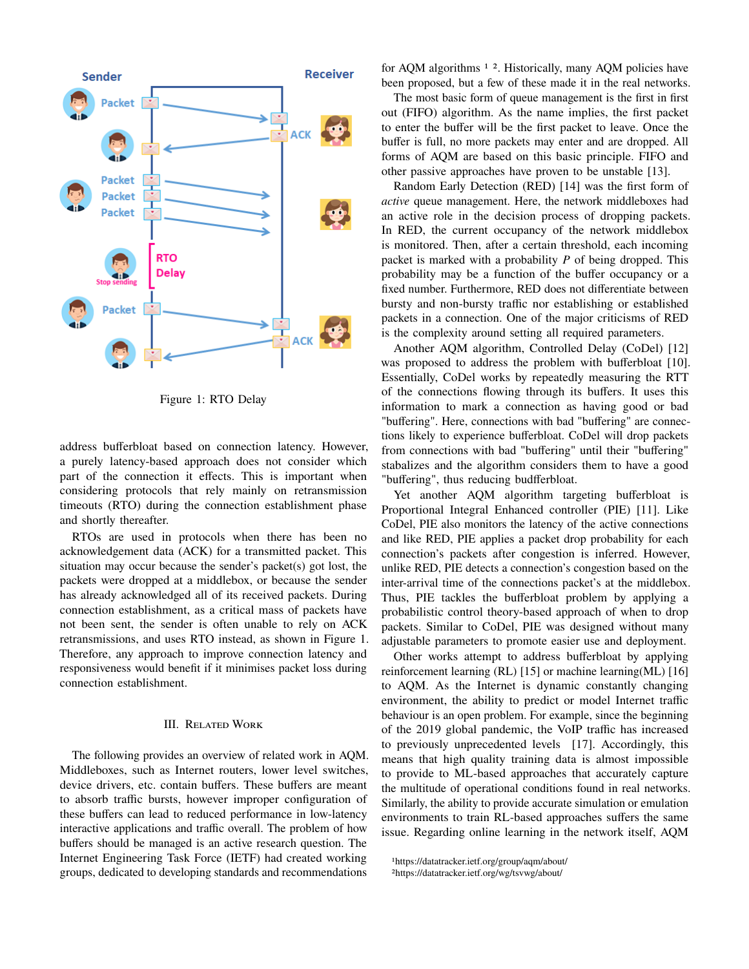

Figure 1: RTO Delay

address bufferbloat based on connection latency. However, a purely latency-based approach does not consider which part of the connection it effects. This is important when considering protocols that rely mainly on retransmission timeouts (RTO) during the connection establishment phase and shortly thereafter.

RTOs are used in protocols when there has been no acknowledgement data (ACK) for a transmitted packet. This situation may occur because the sender's packet(s) got lost, the packets were dropped at a middlebox, or because the sender has already acknowledged all of its received packets. During connection establishment, as a critical mass of packets have not been sent, the sender is often unable to rely on ACK retransmissions, and uses RTO instead, as shown in Figure 1. Therefore, any approach to improve connection latency and responsiveness would benefit if it minimises packet loss during connection establishment.

# III. Related Work

The following provides an overview of related work in AQM. Middleboxes, such as Internet routers, lower level switches, device drivers, etc. contain buffers. These buffers are meant to absorb traffic bursts, however improper configuration of these buffers can lead to reduced performance in low-latency interactive applications and traffic overall. The problem of how buffers should be managed is an active research question. The Internet Engineering Task Force (IETF) had created working groups, dedicated to developing standards and recommendations

for AQM algorithms <sup>1</sup><sup>2</sup>. Historically, many AQM policies have been proposed, but a few of these made it in the real networks.

The most basic form of queue management is the first in first out (FIFO) algorithm. As the name implies, the first packet to enter the buffer will be the first packet to leave. Once the buffer is full, no more packets may enter and are dropped. All forms of AQM are based on this basic principle. FIFO and other passive approaches have proven to be unstable [13].

Random Early Detection (RED) [14] was the first form of *active* queue management. Here, the network middleboxes had an active role in the decision process of dropping packets. In RED, the current occupancy of the network middlebox is monitored. Then, after a certain threshold, each incoming packet is marked with a probability  $P$  of being dropped. This probability may be a function of the buffer occupancy or a fixed number. Furthermore, RED does not differentiate between bursty and non-bursty traffic nor establishing or established packets in a connection. One of the major criticisms of RED is the complexity around setting all required parameters.

Another AQM algorithm, Controlled Delay (CoDel) [12] was proposed to address the problem with bufferbloat [10]. Essentially, CoDel works by repeatedly measuring the RTT of the connections flowing through its buffers. It uses this information to mark a connection as having good or bad "buffering". Here, connections with bad "buffering" are connections likely to experience bufferbloat. CoDel will drop packets from connections with bad "buffering" until their "buffering" stabalizes and the algorithm considers them to have a good "buffering", thus reducing budfferbloat.

Yet another AQM algorithm targeting bufferbloat is Proportional Integral Enhanced controller (PIE) [11]. Like CoDel, PIE also monitors the latency of the active connections and like RED, PIE applies a packet drop probability for each connection's packets after congestion is inferred. However, unlike RED, PIE detects a connection's congestion based on the inter-arrival time of the connections packet's at the middlebox. Thus, PIE tackles the bufferbloat problem by applying a probabilistic control theory-based approach of when to drop packets. Similar to CoDel, PIE was designed without many adjustable parameters to promote easier use and deployment.

Other works attempt to address bufferbloat by applying reinforcement learning (RL) [15] or machine learning(ML) [16] to AQM. As the Internet is dynamic constantly changing environment, the ability to predict or model Internet traffic behaviour is an open problem. For example, since the beginning of the 2019 global pandemic, the VoIP traffic has increased to previously unprecedented levels [17]. Accordingly, this means that high quality training data is almost impossible to provide to ML-based approaches that accurately capture the multitude of operational conditions found in real networks. Similarly, the ability to provide accurate simulation or emulation environments to train RL-based approaches suffers the same issue. Regarding online learning in the network itself, AQM

<sup>1</sup>https://datatracker.ietf.org/group/aqm/about/

<sup>2</sup>https://datatracker.ietf.org/wg/tsvwg/about/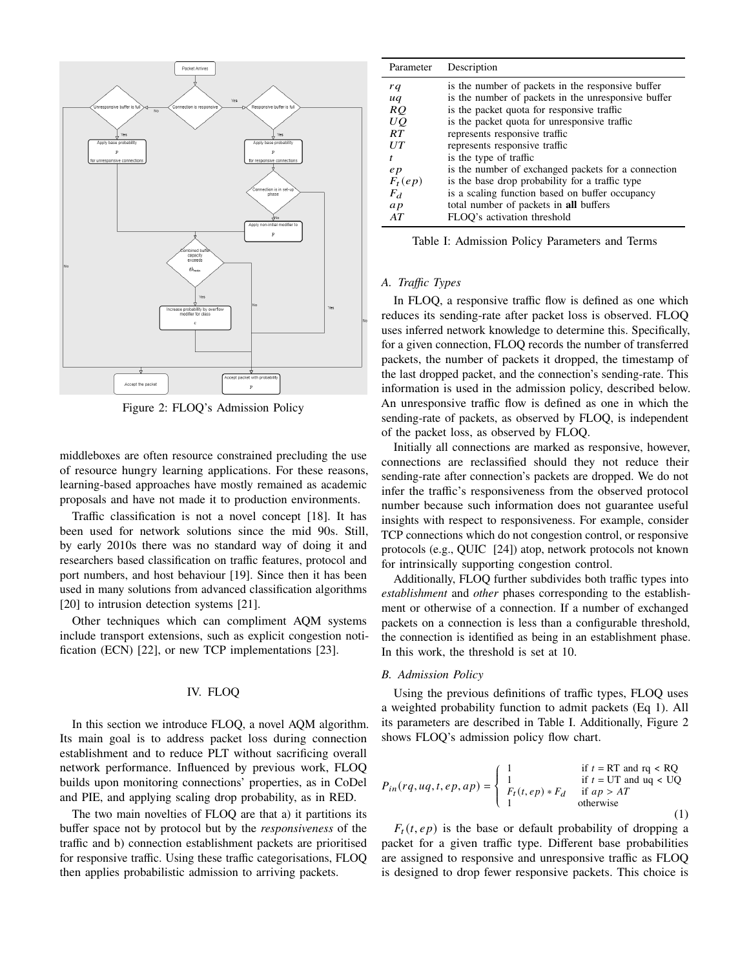

Figure 2: FLOQ's Admission Policy

middleboxes are often resource constrained precluding the use of resource hungry learning applications. For these reasons, learning-based approaches have mostly remained as academic proposals and have not made it to production environments.

Traffic classification is not a novel concept [18]. It has been used for network solutions since the mid 90s. Still, by early 2010s there was no standard way of doing it and researchers based classification on traffic features, protocol and port numbers, and host behaviour [19]. Since then it has been used in many solutions from advanced classification algorithms [20] to intrusion detection systems [21].

Other techniques which can compliment AQM systems include transport extensions, such as explicit congestion notification (ECN) [22], or new TCP implementations [23].

# IV. FLOQ

In this section we introduce FLOQ, a novel AQM algorithm. Its main goal is to address packet loss during connection establishment and to reduce PLT without sacrificing overall network performance. Influenced by previous work, FLOQ builds upon monitoring connections' properties, as in CoDel and PIE, and applying scaling drop probability, as in RED.

The two main novelties of FLOQ are that a) it partitions its buffer space not by protocol but by the *responsiveness* of the traffic and b) connection establishment packets are prioritised for responsive traffic. Using these traffic categorisations, FLOQ then applies probabilistic admission to arriving packets.

| Parameter | Description                                         |
|-----------|-----------------------------------------------------|
| rq        | is the number of packets in the responsive buffer   |
| uq        | is the number of packets in the unresponsive buffer |
| RQ        | is the packet quota for responsive traffic          |
| UQ.       | is the packet quota for unresponsive traffic        |
| RT        | represents responsive traffic                       |
| U T       | represents responsive traffic                       |
| t         | is the type of traffic                              |
| e p       | is the number of exchanged packets for a connection |
| $F_t(ep)$ | is the base drop probability for a traffic type     |
| $F_d$     | is a scaling function based on buffer occupancy     |
| ap        | total number of packets in all buffers              |
| AT        | FLOO's activation threshold                         |

Table I: Admission Policy Parameters and Terms

# *A. Traffic Types*

In FLOQ, a responsive traffic flow is defined as one which reduces its sending-rate after packet loss is observed. FLOQ uses inferred network knowledge to determine this. Specifically, for a given connection, FLOQ records the number of transferred packets, the number of packets it dropped, the timestamp of the last dropped packet, and the connection's sending-rate. This information is used in the admission policy, described below. An unresponsive traffic flow is defined as one in which the sending-rate of packets, as observed by FLOQ, is independent of the packet loss, as observed by FLOQ.

Initially all connections are marked as responsive, however, connections are reclassified should they not reduce their sending-rate after connection's packets are dropped. We do not infer the traffic's responsiveness from the observed protocol number because such information does not guarantee useful insights with respect to responsiveness. For example, consider TCP connections which do not congestion control, or responsive protocols (e.g., QUIC [24]) atop, network protocols not known for intrinsically supporting congestion control.

Additionally, FLOQ further subdivides both traffic types into *establishment* and *other* phases corresponding to the establishment or otherwise of a connection. If a number of exchanged packets on a connection is less than a configurable threshold, the connection is identified as being in an establishment phase. In this work, the threshold is set at 10.

#### *B. Admission Policy*

Using the previous definitions of traffic types, FLOQ uses a weighted probability function to admit packets (Eq 1). All its parameters are described in Table I. Additionally, Figure 2 shows FLOQ's admission policy flow chart.

$$
P_{in}(rq, uq, t, ep, ap) = \begin{cases} 1 & \text{if } t = \text{RT and } \text{rq} < \text{RQ} \\ 1 & \text{if } t = \text{UT and } \text{uq} < \text{UQ} \\ F_t(t, ep) * F_d & \text{if } ap > AT \\ 1 & \text{otherwise} \end{cases}
$$
(1)

 $F_t(t, ep)$  is the base or default probability of dropping a packet for a given traffic type. Different base probabilities are assigned to responsive and unresponsive traffic as FLOQ is designed to drop fewer responsive packets. This choice is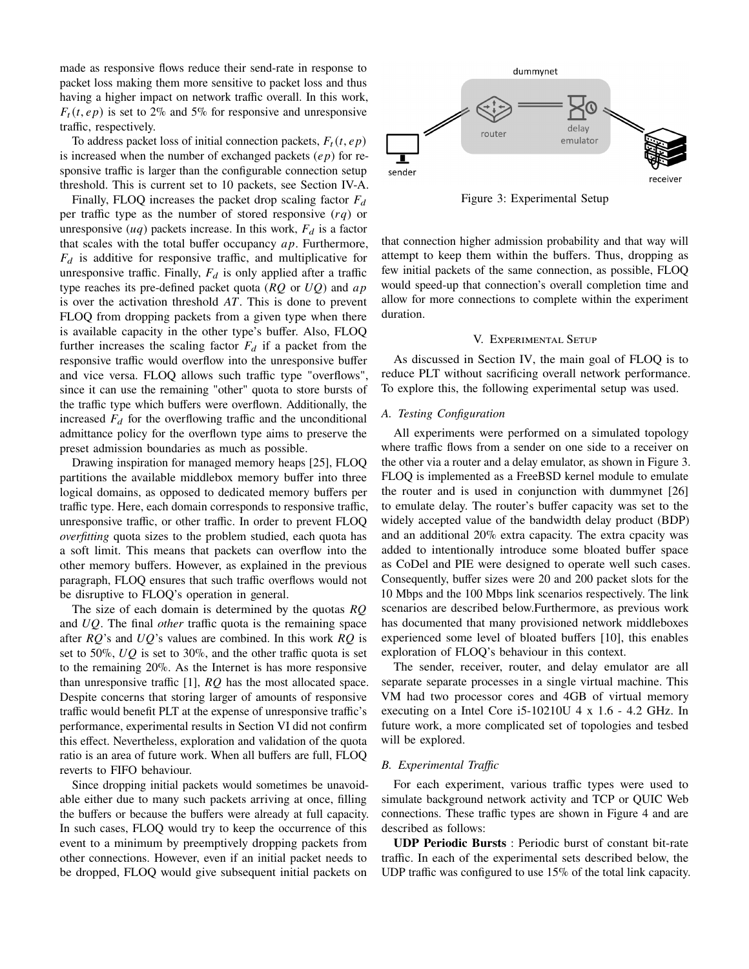made as responsive flows reduce their send-rate in response to packet loss making them more sensitive to packet loss and thus having a higher impact on network traffic overall. In this work,  $F_t(t, e p)$  is set to 2% and 5% for responsive and unresponsive traffic, respectively.

To address packet loss of initial connection packets,  $F_t(t, e p)$ is increased when the number of exchanged packets  $(ep)$  for responsive traffic is larger than the configurable connection setup threshold. This is current set to 10 packets, see Section IV-A.

Finally, FLOQ increases the packet drop scaling factor  $F_d$ per traffic type as the number of stored responsive  $(rq)$  or unresponsive  $(uq)$  packets increase. In this work,  $F_d$  is a factor that scales with the total buffer occupancy  $ap$ . Furthermore,  $F_d$  is additive for responsive traffic, and multiplicative for unresponsive traffic. Finally,  $F_d$  is only applied after a traffic type reaches its pre-defined packet quota ( $RQ$  or  $UQ$ ) and  $ap$ is over the activation threshold  $AT$ . This is done to prevent FLOQ from dropping packets from a given type when there is available capacity in the other type's buffer. Also, FLOQ further increases the scaling factor  $F_d$  if a packet from the responsive traffic would overflow into the unresponsive buffer and vice versa. FLOQ allows such traffic type "overflows", since it can use the remaining "other" quota to store bursts of the traffic type which buffers were overflown. Additionally, the increased  $F_d$  for the overflowing traffic and the unconditional admittance policy for the overflown type aims to preserve the preset admission boundaries as much as possible.

Drawing inspiration for managed memory heaps [25], FLOQ partitions the available middlebox memory buffer into three logical domains, as opposed to dedicated memory buffers per traffic type. Here, each domain corresponds to responsive traffic, unresponsive traffic, or other traffic. In order to prevent FLOQ *overfitting* quota sizes to the problem studied, each quota has a soft limit. This means that packets can overflow into the other memory buffers. However, as explained in the previous paragraph, FLOQ ensures that such traffic overflows would not be disruptive to FLOQ's operation in general.

The size of each domain is determined by the quotas  $RQ$ and UQ. The final *other* traffic quota is the remaining space after  $RQ$ 's and  $UQ$ 's values are combined. In this work  $RQ$  is set to 50%,  $UQ$  is set to 30%, and the other traffic quota is set to the remaining 20%. As the Internet is has more responsive than unresponsive traffic  $[1]$ ,  $RQ$  has the most allocated space. Despite concerns that storing larger of amounts of responsive traffic would benefit PLT at the expense of unresponsive traffic's performance, experimental results in Section VI did not confirm this effect. Nevertheless, exploration and validation of the quota ratio is an area of future work. When all buffers are full, FLOQ reverts to FIFO behaviour.

Since dropping initial packets would sometimes be unavoidable either due to many such packets arriving at once, filling the buffers or because the buffers were already at full capacity. In such cases, FLOQ would try to keep the occurrence of this event to a minimum by preemptively dropping packets from other connections. However, even if an initial packet needs to be dropped, FLOQ would give subsequent initial packets on



Figure 3: Experimental Setup

that connection higher admission probability and that way will attempt to keep them within the buffers. Thus, dropping as few initial packets of the same connection, as possible, FLOQ would speed-up that connection's overall completion time and allow for more connections to complete within the experiment duration.

### V. Experimental Setup

As discussed in Section IV, the main goal of FLOQ is to reduce PLT without sacrificing overall network performance. To explore this, the following experimental setup was used.

## *A. Testing Configuration*

All experiments were performed on a simulated topology where traffic flows from a sender on one side to a receiver on the other via a router and a delay emulator, as shown in Figure 3. FLOQ is implemented as a FreeBSD kernel module to emulate the router and is used in conjunction with dummynet [26] to emulate delay. The router's buffer capacity was set to the widely accepted value of the bandwidth delay product (BDP) and an additional 20% extra capacity. The extra cpacity was added to intentionally introduce some bloated buffer space as CoDel and PIE were designed to operate well such cases. Consequently, buffer sizes were 20 and 200 packet slots for the 10 Mbps and the 100 Mbps link scenarios respectively. The link scenarios are described below.Furthermore, as previous work has documented that many provisioned network middleboxes experienced some level of bloated buffers [10], this enables exploration of FLOQ's behaviour in this context.

The sender, receiver, router, and delay emulator are all separate separate processes in a single virtual machine. This VM had two processor cores and 4GB of virtual memory executing on a Intel Core i5-10210U 4 x 1.6 - 4.2 GHz. In future work, a more complicated set of topologies and tesbed will be explored.

## *B. Experimental Traffic*

For each experiment, various traffic types were used to simulate background network activity and TCP or QUIC Web connections. These traffic types are shown in Figure 4 and are described as follows:

**UDP Periodic Bursts** : Periodic burst of constant bit-rate traffic. In each of the experimental sets described below, the UDP traffic was configured to use 15% of the total link capacity.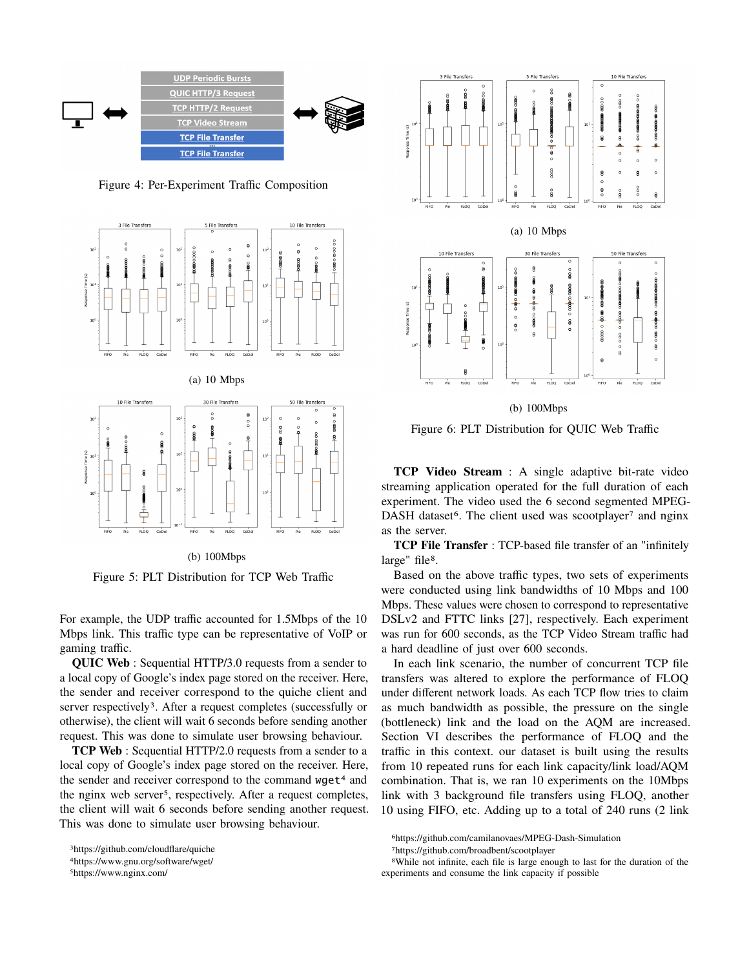

Figure 4: Per-Experiment Traffic Composition





Figure 5: PLT Distribution for TCP Web Traffic

For example, the UDP traffic accounted for 1.5Mbps of the 10 Mbps link. This traffic type can be representative of VoIP or gaming traffic.

**QUIC Web** : Sequential HTTP/3.0 requests from a sender to a local copy of Google's index page stored on the receiver. Here, the sender and receiver correspond to the quiche client and server respectively<sup>3</sup>. After a request completes (successfully or otherwise), the client will wait 6 seconds before sending another request. This was done to simulate user browsing behaviour.

**TCP Web** : Sequential HTTP/2.0 requests from a sender to a local copy of Google's index page stored on the receiver. Here, the sender and receiver correspond to the command  $wget<sup>4</sup>$  and the nginx web server<sup>5</sup>, respectively. After a request completes, the client will wait 6 seconds before sending another request. This was done to simulate user browsing behaviour.



(b) 100Mbps

Figure 6: PLT Distribution for QUIC Web Traffic

**TCP Video Stream** : A single adaptive bit-rate video streaming application operated for the full duration of each experiment. The video used the 6 second segmented MPEG-DASH dataset<sup>6</sup>. The client used was scootplayer<sup>7</sup> and nginx as the server.

**TCP File Transfer** : TCP-based file transfer of an "infinitely large" file<sup>8</sup>.

Based on the above traffic types, two sets of experiments were conducted using link bandwidths of 10 Mbps and 100 Mbps. These values were chosen to correspond to representative DSLv2 and FTTC links [27], respectively. Each experiment was run for 600 seconds, as the TCP Video Stream traffic had a hard deadline of just over 600 seconds.

In each link scenario, the number of concurrent TCP file transfers was altered to explore the performance of FLOQ under different network loads. As each TCP flow tries to claim as much bandwidth as possible, the pressure on the single (bottleneck) link and the load on the AQM are increased. Section VI describes the performance of FLOQ and the traffic in this context. our dataset is built using the results from 10 repeated runs for each link capacity/link load/AQM combination. That is, we ran 10 experiments on the 10Mbps link with 3 background file transfers using FLOQ, another 10 using FIFO, etc. Adding up to a total of 240 runs (2 link

<sup>3</sup>https://github.com/cloudflare/quiche

<sup>4</sup>https://www.gnu.org/software/wget/

<sup>5</sup>https://www.nginx.com/

<sup>6</sup>https://github.com/camilanovaes/MPEG-Dash-Simulation

<sup>7</sup>https://github.com/broadbent/scootplayer

<sup>8</sup>While not infinite, each file is large enough to last for the duration of the experiments and consume the link capacity if possible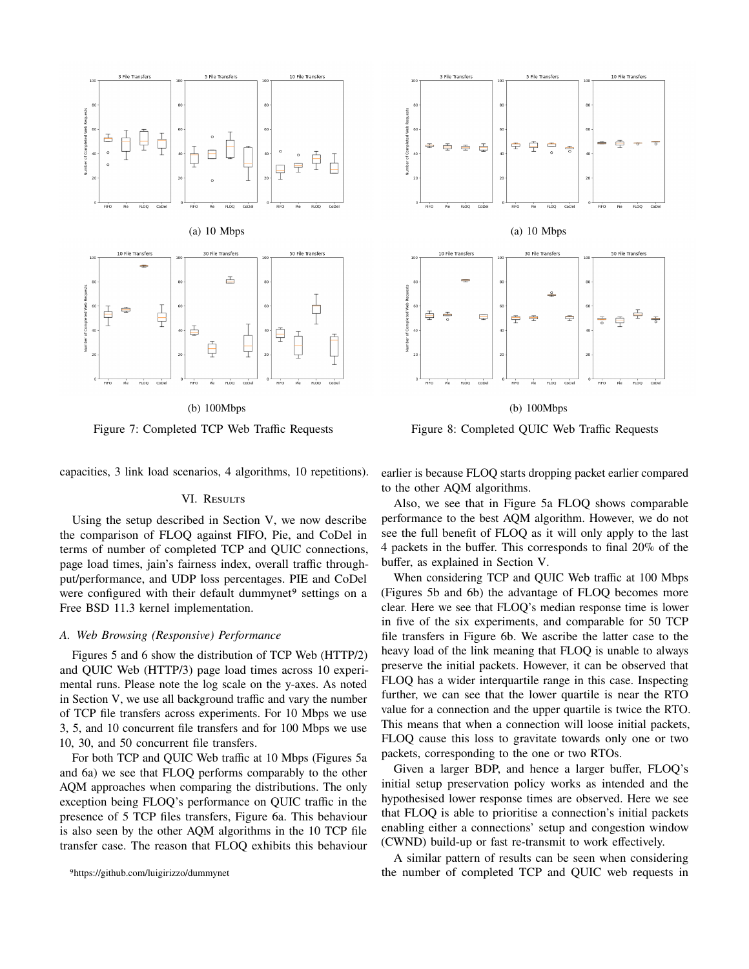

(b) 100Mbps

Figure 7: Completed TCP Web Traffic Requests



(b) 100Mbps

Figure 8: Completed QUIC Web Traffic Requests

capacities, 3 link load scenarios, 4 algorithms, 10 repetitions).

# VI. RESULTS

Using the setup described in Section V, we now describe the comparison of FLOQ against FIFO, Pie, and CoDel in terms of number of completed TCP and QUIC connections, page load times, jain's fairness index, overall traffic throughput/performance, and UDP loss percentages. PIE and CoDel were configured with their default dummynet<sup>9</sup> settings on a Free BSD 11.3 kernel implementation.

#### *A. Web Browsing (Responsive) Performance*

Figures 5 and 6 show the distribution of TCP Web (HTTP/2) and QUIC Web (HTTP/3) page load times across 10 experimental runs. Please note the log scale on the y-axes. As noted in Section V, we use all background traffic and vary the number of TCP file transfers across experiments. For 10 Mbps we use 3, 5, and 10 concurrent file transfers and for 100 Mbps we use 10, 30, and 50 concurrent file transfers.

For both TCP and QUIC Web traffic at 10 Mbps (Figures 5a and 6a) we see that FLOQ performs comparably to the other AQM approaches when comparing the distributions. The only exception being FLOQ's performance on QUIC traffic in the presence of 5 TCP files transfers, Figure 6a. This behaviour is also seen by the other AQM algorithms in the 10 TCP file transfer case. The reason that FLOQ exhibits this behaviour earlier is because FLOQ starts dropping packet earlier compared to the other AQM algorithms.

Also, we see that in Figure 5a FLOQ shows comparable performance to the best AQM algorithm. However, we do not see the full benefit of FLOQ as it will only apply to the last 4 packets in the buffer. This corresponds to final 20% of the buffer, as explained in Section V.

When considering TCP and QUIC Web traffic at 100 Mbps (Figures 5b and 6b) the advantage of FLOQ becomes more clear. Here we see that FLOQ's median response time is lower in five of the six experiments, and comparable for 50 TCP file transfers in Figure 6b. We ascribe the latter case to the heavy load of the link meaning that FLOQ is unable to always preserve the initial packets. However, it can be observed that FLOQ has a wider interquartile range in this case. Inspecting further, we can see that the lower quartile is near the RTO value for a connection and the upper quartile is twice the RTO. This means that when a connection will loose initial packets, FLOQ cause this loss to gravitate towards only one or two packets, corresponding to the one or two RTOs.

Given a larger BDP, and hence a larger buffer, FLOQ's initial setup preservation policy works as intended and the hypothesised lower response times are observed. Here we see that FLOQ is able to prioritise a connection's initial packets enabling either a connections' setup and congestion window (CWND) build-up or fast re-transmit to work effectively.

A similar pattern of results can be seen when considering the number of completed TCP and QUIC web requests in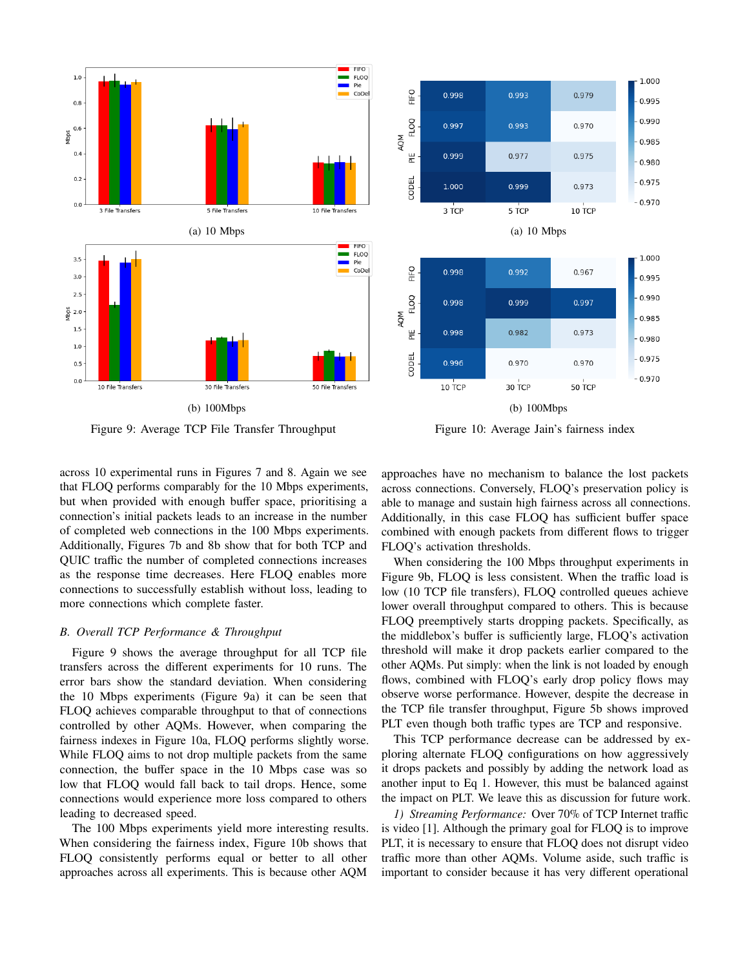

Figure 9: Average TCP File Transfer Throughput



Figure 10: Average Jain's fairness index

across 10 experimental runs in Figures 7 and 8. Again we see that FLOQ performs comparably for the 10 Mbps experiments, but when provided with enough buffer space, prioritising a connection's initial packets leads to an increase in the number of completed web connections in the 100 Mbps experiments. Additionally, Figures 7b and 8b show that for both TCP and QUIC traffic the number of completed connections increases as the response time decreases. Here FLOQ enables more connections to successfully establish without loss, leading to more connections which complete faster.

# *B. Overall TCP Performance & Throughput*

Figure 9 shows the average throughput for all TCP file transfers across the different experiments for 10 runs. The error bars show the standard deviation. When considering the 10 Mbps experiments (Figure 9a) it can be seen that FLOQ achieves comparable throughput to that of connections controlled by other AQMs. However, when comparing the fairness indexes in Figure 10a, FLOQ performs slightly worse. While FLOQ aims to not drop multiple packets from the same connection, the buffer space in the 10 Mbps case was so low that FLOQ would fall back to tail drops. Hence, some connections would experience more loss compared to others leading to decreased speed.

The 100 Mbps experiments yield more interesting results. When considering the fairness index, Figure 10b shows that FLOQ consistently performs equal or better to all other approaches across all experiments. This is because other AQM

approaches have no mechanism to balance the lost packets across connections. Conversely, FLOQ's preservation policy is able to manage and sustain high fairness across all connections. Additionally, in this case FLOQ has sufficient buffer space combined with enough packets from different flows to trigger FLOQ's activation thresholds.

When considering the 100 Mbps throughput experiments in Figure 9b, FLOQ is less consistent. When the traffic load is low (10 TCP file transfers), FLOQ controlled queues achieve lower overall throughput compared to others. This is because FLOQ preemptively starts dropping packets. Specifically, as the middlebox's buffer is sufficiently large, FLOQ's activation threshold will make it drop packets earlier compared to the other AQMs. Put simply: when the link is not loaded by enough flows, combined with FLOQ's early drop policy flows may observe worse performance. However, despite the decrease in the TCP file transfer throughput, Figure 5b shows improved PLT even though both traffic types are TCP and responsive.

This TCP performance decrease can be addressed by exploring alternate FLOQ configurations on how aggressively it drops packets and possibly by adding the network load as another input to Eq 1. However, this must be balanced against the impact on PLT. We leave this as discussion for future work.

*1) Streaming Performance:* Over 70% of TCP Internet traffic is video [1]. Although the primary goal for FLOQ is to improve PLT, it is necessary to ensure that FLOQ does not disrupt video traffic more than other AQMs. Volume aside, such traffic is important to consider because it has very different operational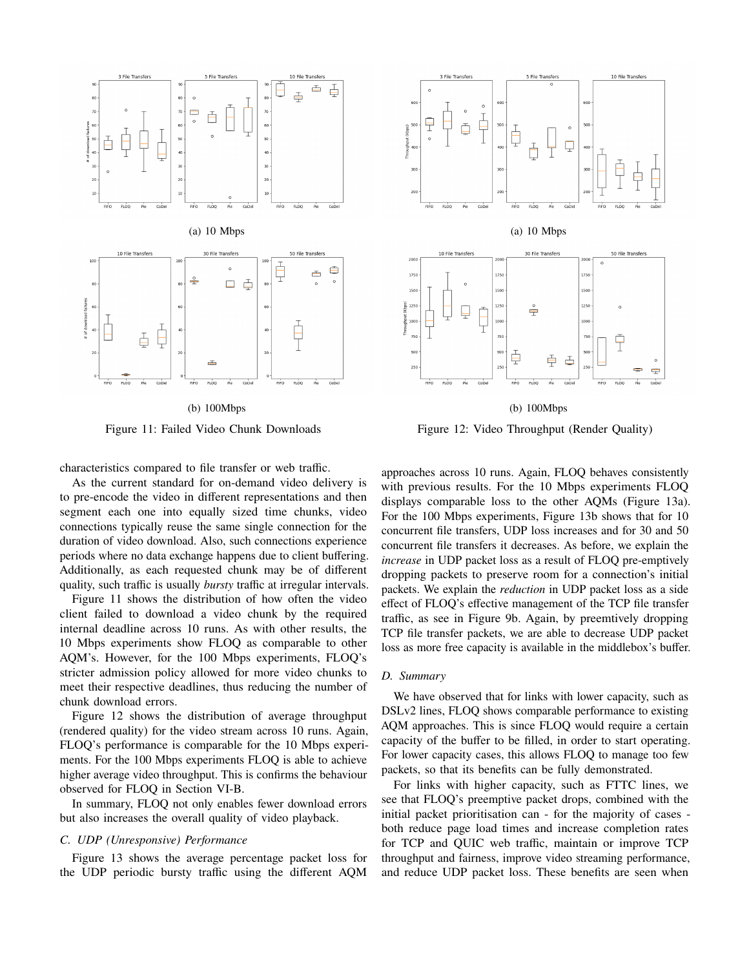

(b) 100Mbps

Figure 11: Failed Video Chunk Downloads



Figure 12: Video Throughput (Render Quality)

characteristics compared to file transfer or web traffic.

As the current standard for on-demand video delivery is to pre-encode the video in different representations and then segment each one into equally sized time chunks, video connections typically reuse the same single connection for the duration of video download. Also, such connections experience periods where no data exchange happens due to client buffering. Additionally, as each requested chunk may be of different quality, such traffic is usually *bursty* traffic at irregular intervals.

Figure 11 shows the distribution of how often the video client failed to download a video chunk by the required internal deadline across 10 runs. As with other results, the 10 Mbps experiments show FLOQ as comparable to other AQM's. However, for the 100 Mbps experiments, FLOQ's stricter admission policy allowed for more video chunks to meet their respective deadlines, thus reducing the number of chunk download errors.

Figure 12 shows the distribution of average throughput (rendered quality) for the video stream across 10 runs. Again, FLOQ's performance is comparable for the 10 Mbps experiments. For the 100 Mbps experiments FLOQ is able to achieve higher average video throughput. This is confirms the behaviour observed for FLOQ in Section VI-B.

In summary, FLOQ not only enables fewer download errors but also increases the overall quality of video playback.

# *C. UDP (Unresponsive) Performance*

Figure 13 shows the average percentage packet loss for the UDP periodic bursty traffic using the different AQM

approaches across 10 runs. Again, FLOQ behaves consistently with previous results. For the 10 Mbps experiments FLOQ displays comparable loss to the other AQMs (Figure 13a). For the 100 Mbps experiments, Figure 13b shows that for 10 concurrent file transfers, UDP loss increases and for 30 and 50 concurrent file transfers it decreases. As before, we explain the *increase* in UDP packet loss as a result of FLOQ pre-emptively dropping packets to preserve room for a connection's initial packets. We explain the *reduction* in UDP packet loss as a side effect of FLOQ's effective management of the TCP file transfer traffic, as see in Figure 9b. Again, by preemtively dropping TCP file transfer packets, we are able to decrease UDP packet loss as more free capacity is available in the middlebox's buffer.

### *D. Summary*

We have observed that for links with lower capacity, such as DSLv2 lines, FLOQ shows comparable performance to existing AQM approaches. This is since FLOQ would require a certain capacity of the buffer to be filled, in order to start operating. For lower capacity cases, this allows FLOQ to manage too few packets, so that its benefits can be fully demonstrated.

For links with higher capacity, such as FTTC lines, we see that FLOQ's preemptive packet drops, combined with the initial packet prioritisation can - for the majority of cases both reduce page load times and increase completion rates for TCP and QUIC web traffic, maintain or improve TCP throughput and fairness, improve video streaming performance, and reduce UDP packet loss. These benefits are seen when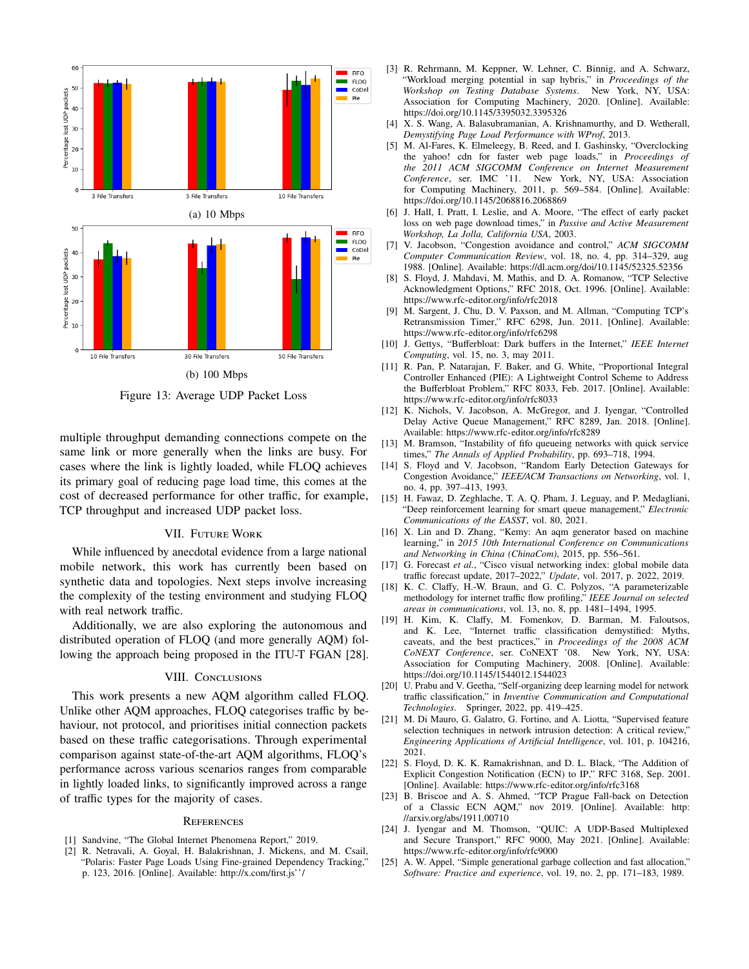

Figure 13: Average UDP Packet Loss

multiple throughput demanding connections compete on the same link or more generally when the links are busy. For cases where the link is lightly loaded, while FLOQ achieves its primary goal of reducing page load time, this comes at the cost of decreased performance for other traffic, for example, TCP throughput and increased UDP packet loss.

# VII. Future Work

While influenced by anecdotal evidence from a large national mobile network, this work has currently been based on synthetic data and topologies. Next steps involve increasing the complexity of the testing environment and studying FLOQ with real network traffic.

Additionally, we are also exploring the autonomous and distributed operation of FLOQ (and more generally AQM) following the approach being proposed in the ITU-T FGAN [28].

## VIII. CONCLUSIONS

This work presents a new AQM algorithm called FLOQ. Unlike other AQM approaches, FLOQ categorises traffic by behaviour, not protocol, and prioritises initial connection packets based on these traffic categorisations. Through experimental comparison against state-of-the-art AQM algorithms, FLOQ's performance across various scenarios ranges from comparable in lightly loaded links, to significantly improved across a range of traffic types for the majority of cases.

#### **REFERENCES**

- [1] Sandvine, "The Global Internet Phenomena Report," 2019.
- [2] R. Netravali, A. Goyal, H. Balakrishnan, J. Mickens, and M. Csail, "Polaris: Faster Page Loads Using Fine-grained Dependency Tracking," p. 123, 2016. [Online]. Available: http://x.com/first.js''/
- [3] R. Rehrmann, M. Keppner, W. Lehner, C. Binnig, and A. Schwarz, "Workload merging potential in sap hybris," in *Proceedings of the Workshop on Testing Database Systems*. New York, NY, USA: Association for Computing Machinery, 2020. [Online]. Available: https://doi.org/10.1145/3395032.3395326
- [4] X. S. Wang, A. Balasubramanian, A. Krishnamurthy, and D. Wetherall, *Demystifying Page Load Performance with WProf*, 2013.
- [5] M. Al-Fares, K. Elmeleegy, B. Reed, and I. Gashinsky, "Overclocking the yahoo! cdn for faster web page loads," in *Proceedings of the 2011 ACM SIGCOMM Conference on Internet Measurement Conference*, ser. IMC '11. New York, NY, USA: Association for Computing Machinery, 2011, p. 569–584. [Online]. Available: https://doi.org/10.1145/2068816.2068869
- [6] J. Hall, I. Pratt, I. Leslie, and A. Moore, "The effect of early packet loss on web page download times," in *Passive and Active Measurement Workshop, La Jolla, California USA*, 2003.
- [7] V. Jacobson, "Congestion avoidance and control," *ACM SIGCOMM Computer Communication Review*, vol. 18, no. 4, pp. 314–329, aug 1988. [Online]. Available: https://dl.acm.org/doi/10.1145/52325.52356
- [8] S. Floyd, J. Mahdavi, M. Mathis, and D. A. Romanow, "TCP Selective Acknowledgment Options," RFC 2018, Oct. 1996. [Online]. Available: https://www.rfc-editor.org/info/rfc2018
- [9] M. Sargent, J. Chu, D. V. Paxson, and M. Allman, "Computing TCP's Retransmission Timer," RFC 6298, Jun. 2011. [Online]. Available: https://www.rfc-editor.org/info/rfc6298
- [10] J. Gettys, "Bufferbloat: Dark buffers in the Internet," *IEEE Internet Computing*, vol. 15, no. 3, may 2011.
- [11] R. Pan, P. Natarajan, F. Baker, and G. White, "Proportional Integral Controller Enhanced (PIE): A Lightweight Control Scheme to Address the Bufferbloat Problem," RFC 8033, Feb. 2017. [Online]. Available: https://www.rfc-editor.org/info/rfc8033
- [12] K. Nichols, V. Jacobson, A. McGregor, and J. Iyengar, "Controlled Delay Active Queue Management," RFC 8289, Jan. 2018. [Online]. Available: https://www.rfc-editor.org/info/rfc8289
- [13] M. Bramson, "Instability of fifo queueing networks with quick service times," *The Annals of Applied Probability*, pp. 693–718, 1994.
- [14] S. Floyd and V. Jacobson, "Random Early Detection Gateways for Congestion Avoidance," *IEEE/ACM Transactions on Networking*, vol. 1, no. 4, pp. 397–413, 1993.
- [15] H. Fawaz, D. Zeghlache, T. A. Q. Pham, J. Leguay, and P. Medagliani, "Deep reinforcement learning for smart queue management," *Electronic Communications of the EASST*, vol. 80, 2021.
- [16] X. Lin and D. Zhang, "Kemy: An aqm generator based on machine learning," in *2015 10th International Conference on Communications and Networking in China (ChinaCom)*, 2015, pp. 556–561.
- [17] G. Forecast *et al.*, "Cisco visual networking index: global mobile data traffic forecast update, 2017–2022," *Update*, vol. 2017, p. 2022, 2019.
- [18] K. C. Claffy, H.-W. Braun, and G. C. Polyzos, "A parameterizable methodology for internet traffic flow profiling," *IEEE Journal on selected areas in communications*, vol. 13, no. 8, pp. 1481–1494, 1995.
- [19] H. Kim, K. Claffy, M. Fomenkov, D. Barman, M. Faloutsos, and K. Lee, "Internet traffic classification demystified: Myths, caveats, and the best practices," in *Proceedings of the 2008 ACM CoNEXT Conference*, ser. CoNEXT '08. New York, NY, USA: Association for Computing Machinery, 2008. [Online]. Available: https://doi.org/10.1145/1544012.1544023
- [20] U. Prabu and V. Geetha, "Self-organizing deep learning model for network traffic classification," in *Inventive Communication and Computational Technologies*. Springer, 2022, pp. 419–425.
- [21] M. Di Mauro, G. Galatro, G. Fortino, and A. Liotta, "Supervised feature selection techniques in network intrusion detection: A critical review, *Engineering Applications of Artificial Intelligence*, vol. 101, p. 104216, 2021.
- [22] S. Floyd, D. K. K. Ramakrishnan, and D. L. Black, "The Addition of Explicit Congestion Notification (ECN) to IP," RFC 3168, Sep. 2001. [Online]. Available: https://www.rfc-editor.org/info/rfc3168
- [23] B. Briscoe and A. S. Ahmed, "TCP Prague Fall-back on Detection of a Classic ECN AQM," nov 2019. [Online]. Available: http: //arxiv.org/abs/1911.00710
- [24] J. Iyengar and M. Thomson, "QUIC: A UDP-Based Multiplexed and Secure Transport," RFC 9000, May 2021. [Online]. Available: https://www.rfc-editor.org/info/rfc9000
- [25] A. W. Appel, "Simple generational garbage collection and fast allocation," *Software: Practice and experience*, vol. 19, no. 2, pp. 171–183, 1989.